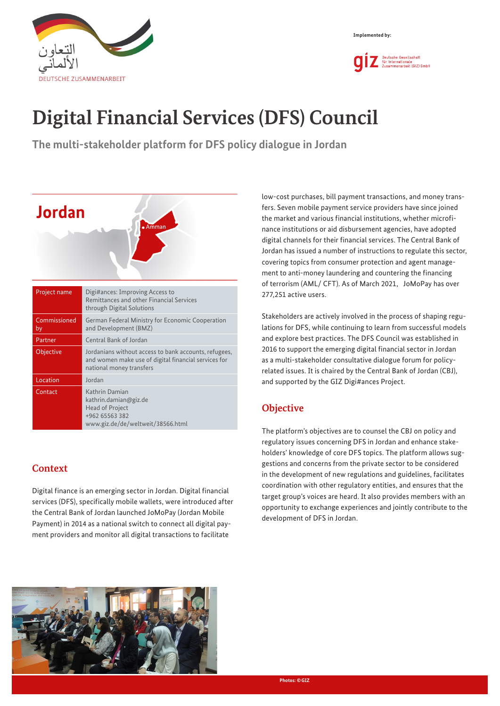



# **Digital Financial Services (DFS) Council**

**The multi-stakeholder platform for DFS policy dialogue in Jordan**



# **Context**

Digital finance is an emerging sector in Jordan. Digital financial services (DFS), specifically mobile wallets, were introduced after the Central Bank of Jordan launched JoMoPay (Jordan Mobile Payment) in 2014 as a national switch to connect all digital payment providers and monitor all digital transactions to facilitate

low-cost purchases, bill payment transactions, and money transfers. Seven mobile payment service providers have since joined the market and various financial institutions, whether microfinance institutions or aid disbursement agencies, have adopted digital channels for their financial services. The Central Bank of Jordan has issued a number of instructions to regulate this sector, covering topics from consumer protection and agent management to anti-money laundering and countering the financing of terrorism (AML/ CFT). As of March 2021, JoMoPay has over 277,251 active users.

Stakeholders are actively involved in the process of shaping regulations for DFS, while continuing to learn from successful models and explore best practices. The DFS Council was established in 2016 to support the emerging digital financial sector in Jordan as a multi-stakeholder consultative dialogue forum for policyrelated issues. It is chaired by the Central Bank of Jordan (CBJ), and supported by the GIZ Digi#ances Project.

# **Objective**

The platform's objectives are to counsel the CBJ on policy and regulatory issues concerning DFS in Jordan and enhance stakeholders' knowledge of core DFS topics. The platform allows suggestions and concerns from the private sector to be considered in the development of new regulations and guidelines, facilitates coordination with other regulatory entities, and ensures that the target group's voices are heard. It also provides members with an opportunity to exchange experiences and jointly contribute to the development of DFS in Jordan.